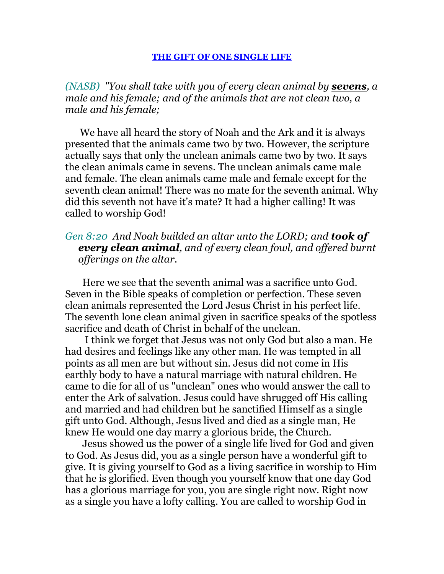*(NASB) "You shall take with you of every clean animal by sevens, a male and his female; and of the animals that are not clean two, a male and his female;* 

 We have all heard the story of Noah and the Ark and it is always presented that the animals came two by two. However, the scripture actually says that only the unclean animals came two by two. It says the clean animals came in sevens. The unclean animals came male and female. The clean animals came male and female except for the seventh clean animal! There was no mate for the seventh animal. Why did this seventh not have it's mate? It had a higher calling! It was called to worship God!

## *Gen 8:20 And Noah builded an altar unto the LORD; and took of every clean animal, and of every clean fowl, and offered burnt offerings on the altar.*

 Here we see that the seventh animal was a sacrifice unto God. Seven in the Bible speaks of completion or perfection. These seven clean animals represented the Lord Jesus Christ in his perfect life. The seventh lone clean animal given in sacrifice speaks of the spotless sacrifice and death of Christ in behalf of the unclean.

 I think we forget that Jesus was not only God but also a man. He had desires and feelings like any other man. He was tempted in all points as all men are but without sin. Jesus did not come in His earthly body to have a natural marriage with natural children. He came to die for all of us "unclean" ones who would answer the call to enter the Ark of salvation. Jesus could have shrugged off His calling and married and had children but he sanctified Himself as a single gift unto God. Although, Jesus lived and died as a single man, He knew He would one day marry a glorious bride, the Church.

 Jesus showed us the power of a single life lived for God and given to God. As Jesus did, you as a single person have a wonderful gift to give. It is giving yourself to God as a living sacrifice in worship to Him that he is glorified. Even though you yourself know that one day God has a glorious marriage for you, you are single right now. Right now as a single you have a lofty calling. You are called to worship God in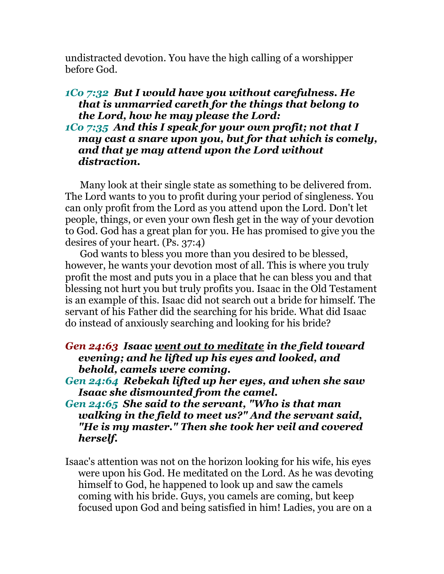undistracted devotion. You have the high calling of a worshipper before God.

## *1Co 7:32 But I would have you without carefulness. He that is unmarried careth for the things that belong to the Lord, how he may please the Lord:*

## *1Co 7:35 And this I speak for your own profit; not that I may cast a snare upon you, but for that which is comely, and that ye may attend upon the Lord without distraction.*

 Many look at their single state as something to be delivered from. The Lord wants to you to profit during your period of singleness. You can only profit from the Lord as you attend upon the Lord. Don't let people, things, or even your own flesh get in the way of your devotion to God. God has a great plan for you. He has promised to give you the desires of your heart. (Ps. 37:4)

 God wants to bless you more than you desired to be blessed, however, he wants your devotion most of all. This is where you truly profit the most and puts you in a place that he can bless you and that blessing not hurt you but truly profits you. Isaac in the Old Testament is an example of this. Isaac did not search out a bride for himself. The servant of his Father did the searching for his bride. What did Isaac do instead of anxiously searching and looking for his bride?

## *Gen 24:63 Isaac went out to meditate in the field toward evening; and he lifted up his eyes and looked, and behold, camels were coming.*

- *Gen 24:64 Rebekah lifted up her eyes, and when she saw Isaac she dismounted from the camel.*
- *Gen 24:65 She said to the servant, "Who is that man walking in the field to meet us?" And the servant said, "He is my master." Then she took her veil and covered herself.*
- Isaac's attention was not on the horizon looking for his wife, his eyes were upon his God. He meditated on the Lord. As he was devoting himself to God, he happened to look up and saw the camels coming with his bride. Guys, you camels are coming, but keep focused upon God and being satisfied in him! Ladies, you are on a